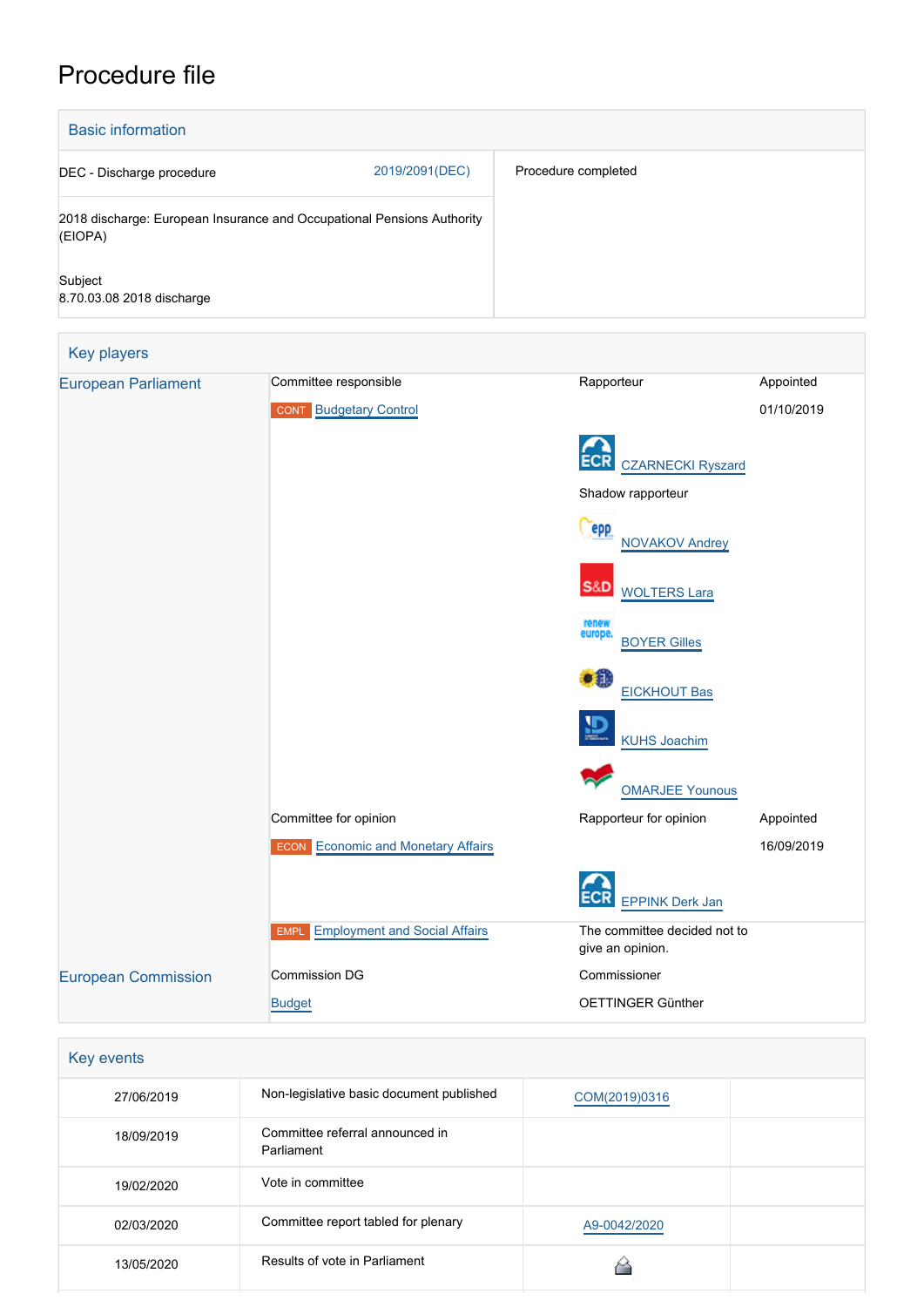# Procedure file



| Key events |                                               |               |  |  |  |  |
|------------|-----------------------------------------------|---------------|--|--|--|--|
| 27/06/2019 | Non-legislative basic document published      | COM(2019)0316 |  |  |  |  |
| 18/09/2019 | Committee referral announced in<br>Parliament |               |  |  |  |  |
| 19/02/2020 | Vote in committee                             |               |  |  |  |  |
| 02/03/2020 | Committee report tabled for plenary           | A9-0042/2020  |  |  |  |  |
| 13/05/2020 | Results of vote in Parliament                 |               |  |  |  |  |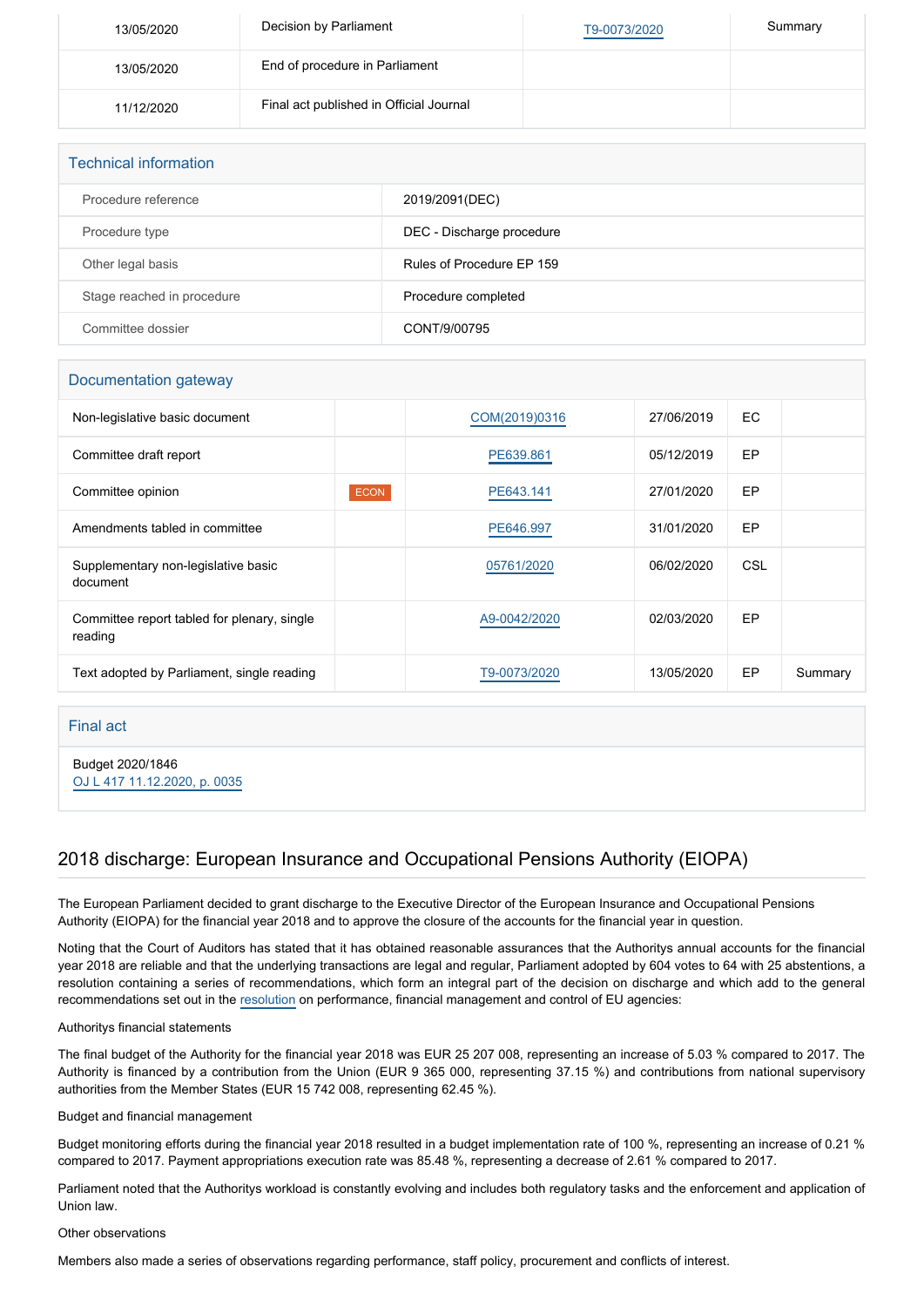| 13/05/2020 | Decision by Parliament                  | T9-0073/2020 | Summary |
|------------|-----------------------------------------|--------------|---------|
| 13/05/2020 | End of procedure in Parliament          |              |         |
| 11/12/2020 | Final act published in Official Journal |              |         |

| <b>Technical information</b> |                           |  |  |  |
|------------------------------|---------------------------|--|--|--|
| Procedure reference          | 2019/2091(DEC)            |  |  |  |
| Procedure type               | DEC - Discharge procedure |  |  |  |
| Other legal basis            | Rules of Procedure EP 159 |  |  |  |
| Stage reached in procedure   | Procedure completed       |  |  |  |
| Committee dossier            | CONT/9/00795              |  |  |  |

## Documentation gateway

| Non-legislative basic document                         |             | COM(2019)0316 | 27/06/2019 | EC.        |         |
|--------------------------------------------------------|-------------|---------------|------------|------------|---------|
| Committee draft report                                 |             | PE639.861     | 05/12/2019 | EP.        |         |
| Committee opinion                                      | <b>ECON</b> | PE643.141     | 27/01/2020 | EP         |         |
| Amendments tabled in committee                         |             | PE646.997     | 31/01/2020 | EP         |         |
| Supplementary non-legislative basic<br>document        |             | 05761/2020    | 06/02/2020 | <b>CSL</b> |         |
| Committee report tabled for plenary, single<br>reading |             | A9-0042/2020  | 02/03/2020 | EP         |         |
| Text adopted by Parliament, single reading             |             | T9-0073/2020  | 13/05/2020 | EP         | Summary |

## Final act

Budget 2020/1846 [OJ L 417 11.12.2020, p. 0035](https://eur-lex.europa.eu/legal-content/EN/TXT/?uri=OJ:L:2020:417:TOC)

# 2018 discharge: European Insurance and Occupational Pensions Authority (EIOPA)

The European Parliament decided to grant discharge to the Executive Director of the European Insurance and Occupational Pensions Authority (EIOPA) for the financial year 2018 and to approve the closure of the accounts for the financial year in question.

Noting that the Court of Auditors has stated that it has obtained reasonable assurances that the Authoritys annual accounts for the financial year 2018 are reliable and that the underlying transactions are legal and regular, Parliament adopted by 604 votes to 64 with 25 abstentions, a resolution containing a series of recommendations, which form an integral part of the decision on discharge and which add to the general recommendations set out in the [resolution](https://oeil.secure.europarl.europa.eu/oeil/popups/ficheprocedure.do?lang=en&reference=2019/2098(DEC)) on performance, financial management and control of EU agencies:

## Authoritys financial statements

The final budget of the Authority for the financial year 2018 was EUR 25 207 008, representing an increase of 5.03 % compared to 2017. The Authority is financed by a contribution from the Union (EUR 9 365 000, representing 37.15 %) and contributions from national supervisory authorities from the Member States (EUR 15 742 008, representing 62.45 %).

### Budget and financial management

Budget monitoring efforts during the financial year 2018 resulted in a budget implementation rate of 100 %, representing an increase of 0.21 % compared to 2017. Payment appropriations execution rate was 85.48 %, representing a decrease of 2.61 % compared to 2017.

Parliament noted that the Authoritys workload is constantly evolving and includes both regulatory tasks and the enforcement and application of Union law.

#### Other observations

Members also made a series of observations regarding performance, staff policy, procurement and conflicts of interest.